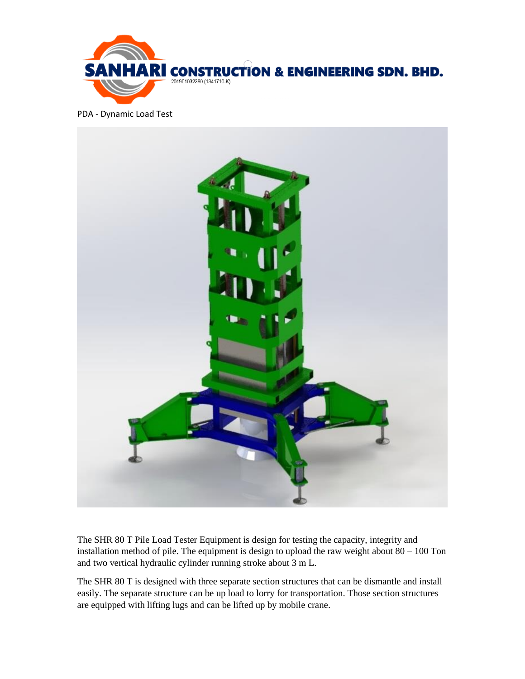

PDA - Dynamic Load Test



The SHR 80 T Pile Load Tester Equipment is design for testing the capacity, integrity and installation method of pile. The equipment is design to upload the raw weight about  $80 - 100$  Ton and two vertical hydraulic cylinder running stroke about 3 m L.

The SHR 80 T is designed with three separate section structures that can be dismantle and install easily. The separate structure can be up load to lorry for transportation. Those section structures are equipped with lifting lugs and can be lifted up by mobile crane.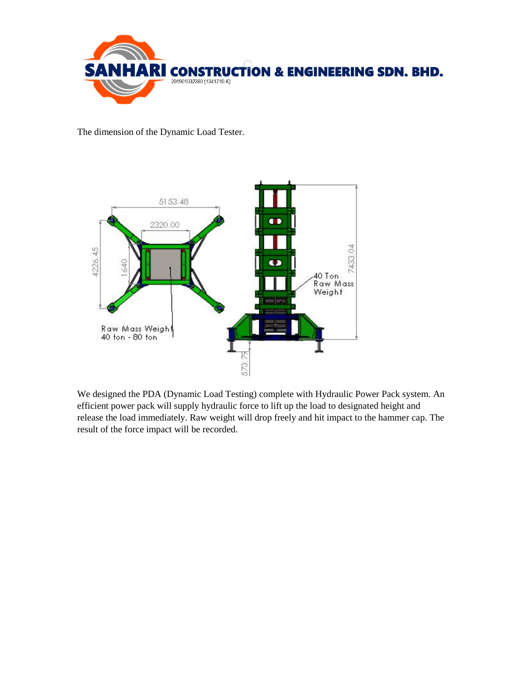

The dimension of the Dynamic Load Tester.



We designed the PDA (Dynamic Load Testing) complete with Hydraulic Power Pack system. An efficient power pack will supply hydraulic force to lift up the load to designated height and release the load immediately. Raw weight will drop freely and hit impact to the hammer cap. The result of the force impact will be recorded.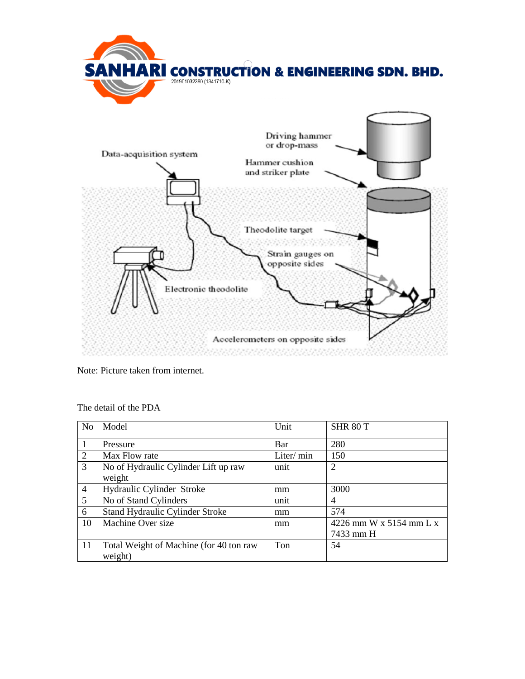

Note: Picture taken from internet.

| N <sub>o</sub> | Model                                              | Unit       | SHR <sub>80</sub> T                  |
|----------------|----------------------------------------------------|------------|--------------------------------------|
|                | Pressure                                           | Bar        | 280                                  |
| 2              | Max Flow rate                                      | Liter/ min | 150                                  |
| 3              | No of Hydraulic Cylinder Lift up raw<br>weight     | unit       | 2                                    |
| $\overline{4}$ | Hydraulic Cylinder Stroke                          | mm         | 3000                                 |
| 5              | No of Stand Cylinders                              | unit       | 4                                    |
| 6              | Stand Hydraulic Cylinder Stroke                    | mm         | 574                                  |
| 10             | Machine Over size                                  | mm         | 4226 mm W x 5154 mm L x<br>7433 mm H |
| 11             | Total Weight of Machine (for 40 ton raw<br>weight) | Ton        | 54                                   |